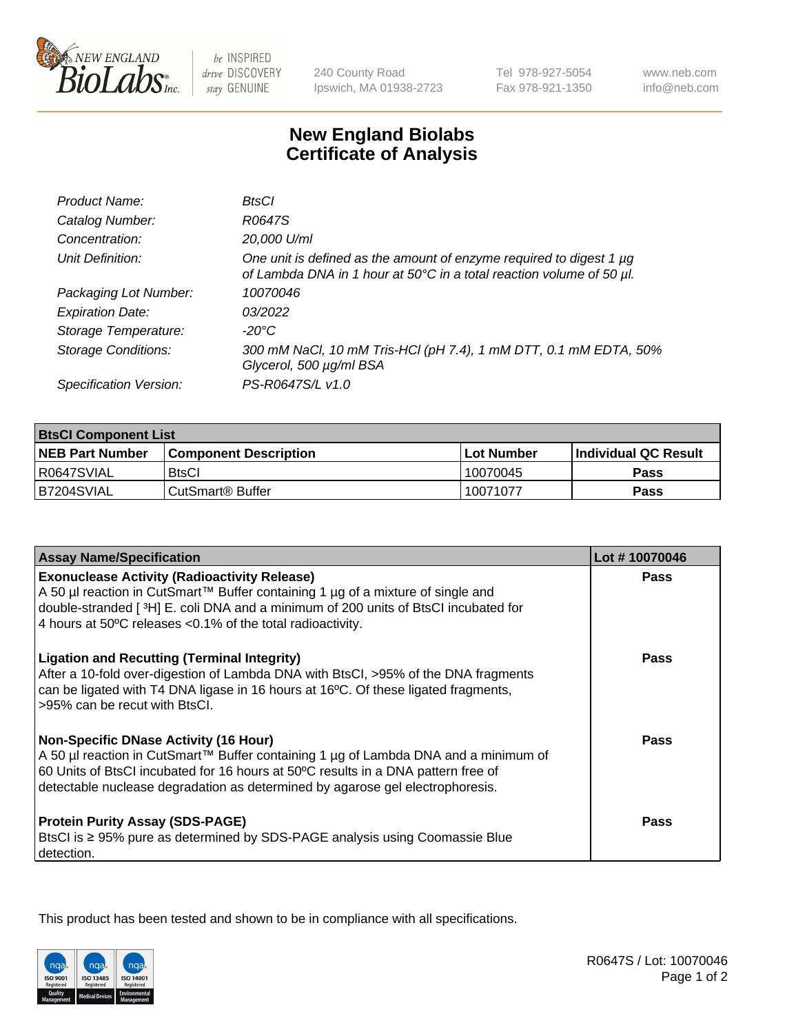

 $be$  INSPIRED drive DISCOVERY stay GENUINE

240 County Road Ipswich, MA 01938-2723 Tel 978-927-5054 Fax 978-921-1350

www.neb.com info@neb.com

## **New England Biolabs Certificate of Analysis**

| Product Name:              | BtsCl                                                                                                                                            |
|----------------------------|--------------------------------------------------------------------------------------------------------------------------------------------------|
| Catalog Number:            | R0647S                                                                                                                                           |
| Concentration:             | 20,000 U/ml                                                                                                                                      |
| Unit Definition:           | One unit is defined as the amount of enzyme required to digest 1 $\mu$ g<br>of Lambda DNA in 1 hour at 50°C in a total reaction volume of 50 µl. |
| Packaging Lot Number:      | 10070046                                                                                                                                         |
| <b>Expiration Date:</b>    | 03/2022                                                                                                                                          |
| Storage Temperature:       | $-20^{\circ}$ C                                                                                                                                  |
| <b>Storage Conditions:</b> | 300 mM NaCl, 10 mM Tris-HCl (pH 7.4), 1 mM DTT, 0.1 mM EDTA, 50%<br>Glycerol, 500 µg/ml BSA                                                      |
| Specification Version:     | PS-R0647S/L v1.0                                                                                                                                 |

| <b>BtsCl Component List</b> |                              |             |                             |  |  |
|-----------------------------|------------------------------|-------------|-----------------------------|--|--|
| <b>NEB Part Number</b>      | <b>Component Description</b> | ⊺Lot Number | <b>Individual QC Result</b> |  |  |
| R0647SVIAL                  | <b>BtsCl</b>                 | 10070045    | Pass                        |  |  |
| B7204SVIAL                  | CutSmart <sup>®</sup> Buffer | 10071077    | Pass                        |  |  |

| <b>Assay Name/Specification</b>                                                                                                                                                                                                                                                                           | Lot #10070046 |
|-----------------------------------------------------------------------------------------------------------------------------------------------------------------------------------------------------------------------------------------------------------------------------------------------------------|---------------|
| <b>Exonuclease Activity (Radioactivity Release)</b><br>A 50 µl reaction in CutSmart™ Buffer containing 1 µg of a mixture of single and                                                                                                                                                                    | <b>Pass</b>   |
| double-stranded [3H] E. coli DNA and a minimum of 200 units of BtsCl incubated for<br>4 hours at 50°C releases <0.1% of the total radioactivity.                                                                                                                                                          |               |
| <b>Ligation and Recutting (Terminal Integrity)</b><br>After a 10-fold over-digestion of Lambda DNA with BtsCl, >95% of the DNA fragments<br>can be ligated with T4 DNA ligase in 16 hours at 16°C. Of these ligated fragments,<br>>95% can be recut with BtsCl.                                           | Pass          |
| <b>Non-Specific DNase Activity (16 Hour)</b><br>A 50 µl reaction in CutSmart™ Buffer containing 1 µg of Lambda DNA and a minimum of<br>60 Units of BtsCl incubated for 16 hours at 50°C results in a DNA pattern free of<br>detectable nuclease degradation as determined by agarose gel electrophoresis. | <b>Pass</b>   |
| <b>Protein Purity Assay (SDS-PAGE)</b><br>BtsCl is ≥ 95% pure as determined by SDS-PAGE analysis using Coomassie Blue<br>detection.                                                                                                                                                                       | Pass          |

This product has been tested and shown to be in compliance with all specifications.